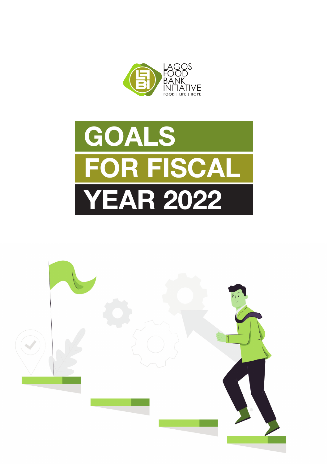



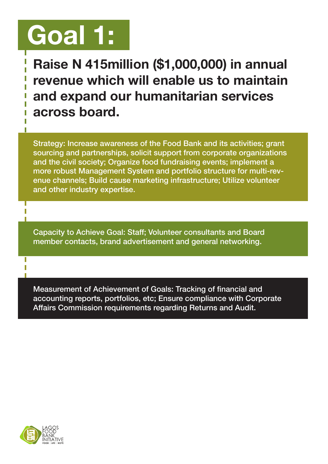# Goal 1:

Raise N 415million (\$1,000,000) in annual revenue which will enable us to maintain and expand our humanitarian services across board.

Strategy: Increase awareness of the Food Bank and its activities; grant sourcing and partnerships, solicit support from corporate organizations and the civil society; Organize food fundraising events; implement a more robust Management System and portfolio structure for multi-revenue channels; Build cause marketing infrastructure; Utilize volunteer and other industry expertise.

Capacity to Achieve Goal: Staff; Volunteer consultants and Board member contacts, brand advertisement and general networking.

Measurement of Achievement of Goals: Tracking of financial and accounting reports, portfolios, etc; Ensure compliance with Corporate Affairs Commission requirements regarding Returns and Audit.

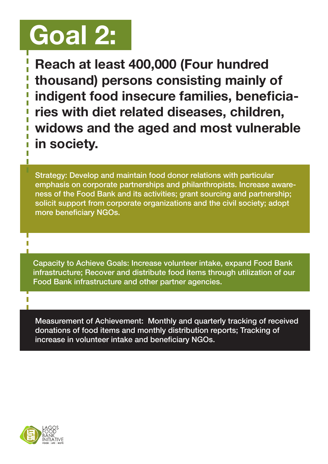# Goal 2:

Reach at least 400,000 (Four hundred thousand) persons consisting mainly of indigent food insecure families, beneficiaries with diet related diseases, children, widows and the aged and most vulnerable in society.

Strategy: Develop and maintain food donor relations with particular emphasis on corporate partnerships and philanthropists. Increase awareness of the Food Bank and its activities; grant sourcing and partnership; solicit support from corporate organizations and the civil society; adopt more beneficiary NGOs.

Capacity to Achieve Goals: Increase volunteer intake, expand Food Bank infrastructure; Recover and distribute food items through utilization of our Food Bank infrastructure and other partner agencies.

Measurement of Achievement: Monthly and quarterly tracking of received donations of food items and monthly distribution reports; Tracking of increase in volunteer intake and beneficiary NGOs.

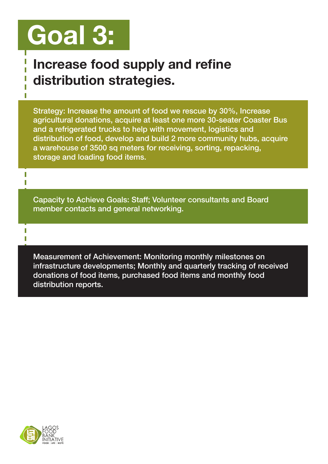# Goal 3:

#### Increase food supply and refine distribution strategies.

Strategy: Increase the amount of food we rescue by 30%, Increase agricultural donations, acquire at least one more 30-seater Coaster Bus and a refrigerated trucks to help with movement, logistics and distribution of food, develop and build 2 more community hubs, acquire a warehouse of 3500 sq meters for receiving, sorting, repacking, storage and loading food items.

Capacity to Achieve Goals: Staff; Volunteer consultants and Board member contacts and general networking.

Measurement of Achievement: Monitoring monthly milestones on infrastructure developments; Monthly and quarterly tracking of received donations of food items, purchased food items and monthly food distribution reports.



T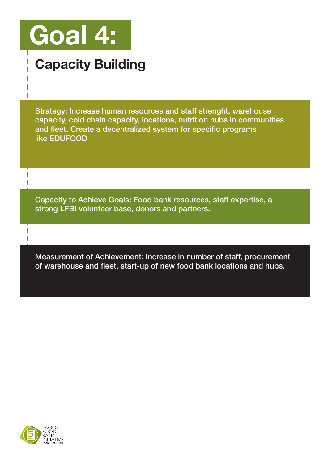# Goal 4:

П T T,

T T

П

### Capacity Building

Strategy: Increase human resources and staff strenght, warehouse capacity, cold chain capacity, locations, nutrition hubs in communities and fleet. Create a decentralized system for specific programs like EDUFOOD

Capacity to Achieve Goals: Food bank resources, staff expertise, a strong LFBI volunteer base, donors and partners.

Measurement of Achievement: Increase in number of staff, procurement of warehouse and fleet, start-up of new food bank locations and hubs.

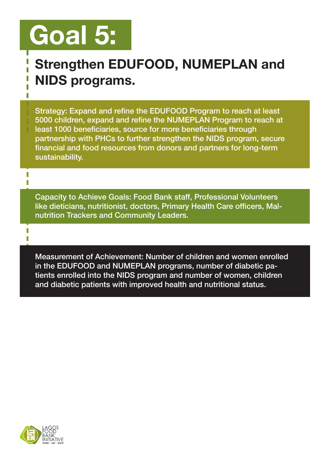### Goal 5:

П

T I.

#### Strengthen EDUFOOD, NUMEPLAN and NIDS programs. T

Strategy: Expand and refine the EDUFOOD Program to reach at least 5000 children, expand and refine the NUMEPLAN Program to reach at least 1000 beneficiaries, source for more beneficiaries through partnership with PHCs to further strengthen the NIDS program, secure financial and food resources from donors and partners for long-term sustainability.

Capacity to Achieve Goals: Food Bank staff, Professional Volunteers like dieticians, nutritionist, doctors, Primary Health Care officers, Malnutrition Trackers and Community Leaders.

Measurement of Achievement: Number of children and women enrolled in the EDUFOOD and NUMEPLAN programs, number of diabetic patients enrolled into the NIDS program and number of women, children and diabetic patients with improved health and nutritional status.

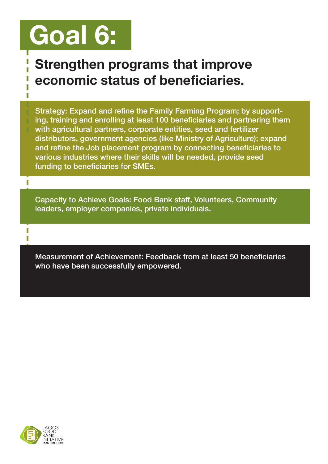## Goal 6:

#### Strengthen programs that improve economic status of beneficiaries.

Strategy: Expand and refine the Family Farming Program; by support-

ing, training and enrolling at least 100 beneficiaries and partnering them with agricultural partners, corporate entities, seed and fertilizer distributors, government agencies (like Ministry of Agriculture); expand and refine the Job placement program by connecting beneficiaries to various industries where their skills will be needed, provide seed funding to beneficiaries for SMEs.

Capacity to Achieve Goals: Food Bank staff, Volunteers, Community leaders, employer companies, private individuals.

Measurement of Achievement: Feedback from at least 50 beneficiaries who have been successfully empowered.

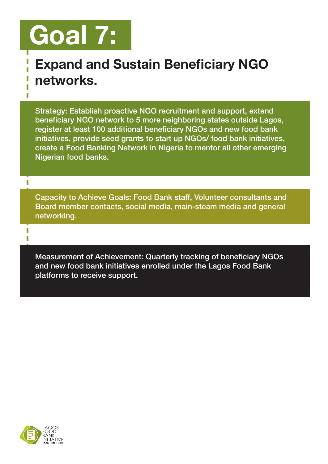## Goal 7:

#### Expand and Sustain Beneficiary NGO networks.

Strategy: Establish proactive NGO recruitment and support, extend beneficiary NGO network to 5 more neighboring states outside Lagos, register at least 100 additional beneficiary NGOs and new food bank initiatives, provide seed grants to start up NGOs/ food bank initiatives, create a Food Banking Network in Nigeria to mentor all other emerging Nigerian food banks.

Capacity to Achieve Goals: Food Bank staff, Volunteer consultants and Board member contacts, social media, main-steam media and general networking.

Measurement of Achievement: Quarterly tracking of beneficiary NGOs and new food bank initiatives enrolled under the Lagos Food Bank platforms to receive support.



п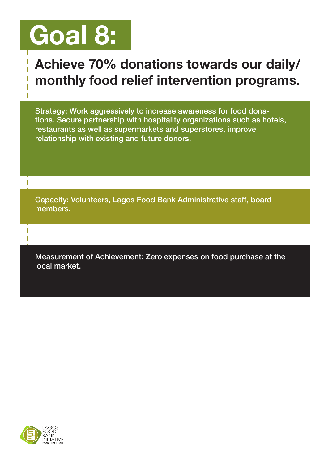### Goal 8:

#### Achieve 70% donations towards our daily/ monthly food relief intervention programs.

Strategy: Work aggressively to increase awareness for food donations. Secure partnership with hospitality organizations such as hotels, restaurants as well as supermarkets and superstores, improve relationship with existing and future donors.

Capacity: Volunteers, Lagos Food Bank Administrative staff, board members.

Measurement of Achievement: Zero expenses on food purchase at the local market.

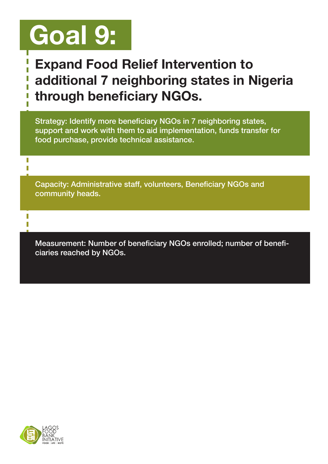## Goal 9:

#### Expand Food Relief Intervention to additional 7 neighboring states in Nigeria through beneficiary NGOs.

Strategy: Identify more beneficiary NGOs in 7 neighboring states, support and work with them to aid implementation, funds transfer for food purchase, provide technical assistance.

Capacity: Administrative staff, volunteers, Beneficiary NGOs and community heads.

Measurement: Number of beneficiary NGOs enrolled; number of beneficiaries reached by NGOs.



I Ī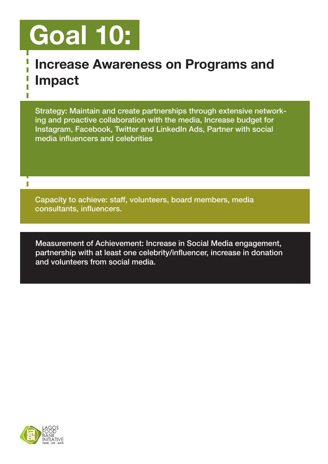# Goal 10:

Ī

Ī П

T

#### Increase Awareness on Programs and Impact

Strategy: Maintain and create partnerships through extensive networking and proactive collaboration with the media, Increase budget for Instagram, Facebook, Twitter and LinkedIn Ads, Partner with social media influencers and celebrities

Capacity to achieve: staff, volunteers, board members, media consultants, influencers.

Measurement of Achievement: Increase in Social Media engagement, partnership with at least one celebrity/influencer, increase in donation and volunteers from social media.

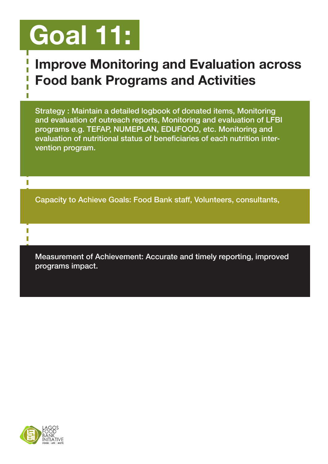## Goal 11:

#### Improve Monitoring and Evaluation across Food bank Programs and Activities

Strategy : Maintain a detailed logbook of donated items, Monitoring and evaluation of outreach reports, Monitoring and evaluation of LFBI programs e.g. TEFAP, NUMEPLAN, EDUFOOD, etc. Monitoring and evaluation of nutritional status of beneficiaries of each nutrition intervention program.

Capacity to Achieve Goals: Food Bank staff, Volunteers, consultants,

Measurement of Achievement: Accurate and timely reporting, improved programs impact.